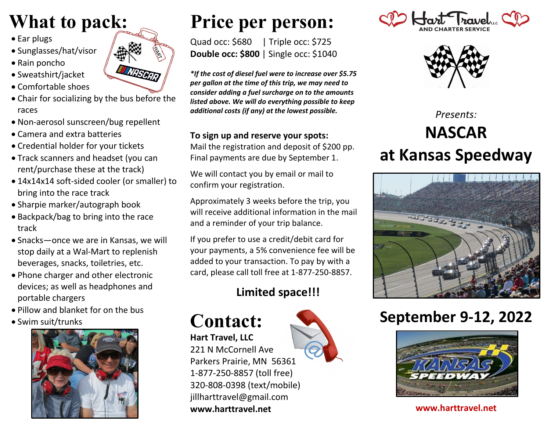## **What to pack:**

- Ear plugs
- Sunglasses/hat/visor
- Rain poncho
- Sweatshirt/jacket
- Comfortable shoes
- Chair for socializing by the bus before the races
- Non-aerosol sunscreen/bug repellent
- Camera and extra batteries
- Credential holder for your tickets
- Track scanners and headset (you can rent/purchase these at the track)
- 14x14x14 soft-sided cooler (or smaller) to bring into the race track
- Sharpie marker/autograph book
- Backpack/bag to bring into the race track
- Snacks—once we are in Kansas, we will stop daily at a Wal-Mart to replenish beverages, snacks, toiletries, etc.
- Phone charger and other electronic devices; as well as headphones and portable chargers
- Pillow and blanket for on the bus
- Swim suit/trunks





# **Price per person:**

Quad occ: \$680| Triple occ: \$725 **Double occ: \$800** | Single occ: \$1040

*\*If the cost of diesel fuel were to increase over \$5.75 per gallon at the time of this trip, we may need to consider adding a fuel surcharge on to the amounts listed above. We will do everything possible to keep additional costs (if any) at the lowest possible.*

#### **To sign up and reserve your spots:**

Mail the registration and deposit of \$200 pp. Final payments are due by September 1.

We will contact you by email or mail to confirm your registration.

Approximately 3 weeks before the trip, you will receive additional information in the mail and a reminder of your trip balance.

If you prefer to use a credit/debit card for your payments, a 5% convenience fee will be added to your transaction. To pay by with a card, please call toll free at 1-877-250-8857.

### **Limited space!!!**



**Hart Travel, LLC** 221 N McCornell Ave Parkers Prairie, MN 56361 1-877-250-8857 (toll free) 320-808-0398 (text/mobile) jillharttravel@gmail.com **www.harttravel.net**





*Presents:* **NASCAR at Kansas Speedway**



## **September 9-12, 2022**



**www.harttravel.net**